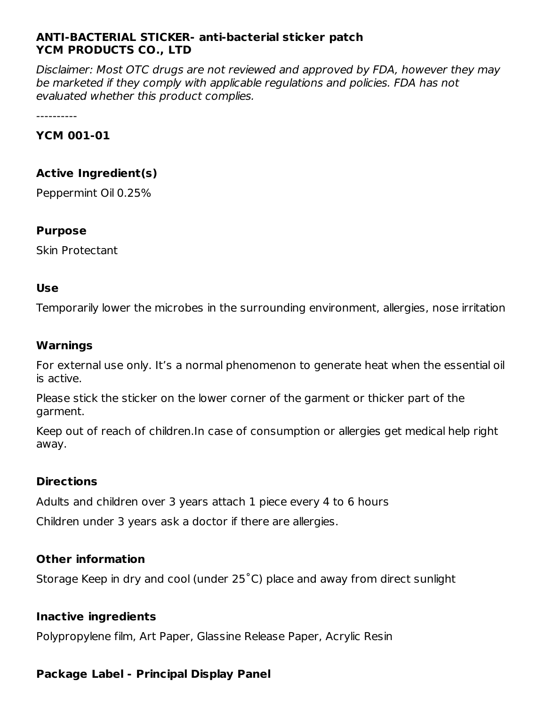#### **ANTI-BACTERIAL STICKER- anti-bacterial sticker patch YCM PRODUCTS CO., LTD**

Disclaimer: Most OTC drugs are not reviewed and approved by FDA, however they may be marketed if they comply with applicable regulations and policies. FDA has not evaluated whether this product complies.

----------

#### **YCM 001-01**

#### **Active Ingredient(s)**

Peppermint Oil 0.25%

#### **Purpose**

Skin Protectant

#### **Use**

Temporarily lower the microbes in the surrounding environment, allergies, nose irritation

#### **Warnings**

For external use only. It's a normal phenomenon to generate heat when the essential oil is active.

Please stick the sticker on the lower corner of the garment or thicker part of the garment.

Keep out of reach of children.In case of consumption or allergies get medical help right away.

#### **Directions**

Adults and children over 3 years attach 1 piece every 4 to 6 hours

Children under 3 years ask a doctor if there are allergies.

#### **Other information**

Storage Keep in dry and cool (under 25˚C) place and away from direct sunlight

#### **Inactive ingredients**

Polypropylene film, Art Paper, Glassine Release Paper, Acrylic Resin

#### **Package Label - Principal Display Panel**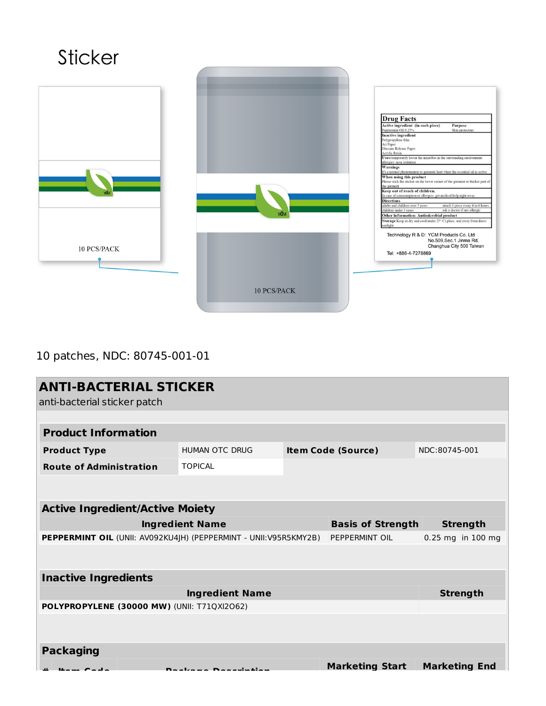# **Sticker Drug Facts**<br>
Active ingredient (in each piece) Perpose<br>
Perperminic Oil 0.25%.<br>
Skin protectant<br>
Inactive ingredient<br>
Mayproplene film<br>
Nolyproplene film<br>
Nolyproplene film<br>
Collossine Release Paper<br>
Constitute Costing C riease suck the sticket on the lower com<br>the garment<br>Keep out of reach of children.<br>In case of consusmption or allergies, get<br>Directions **Keep out of reach of children.**<br>In case of consumption or allergies, get medical help right away.<br>In case of consumption or allergies, get medical help right away.<br>Sublise an delikhen over 3 years and a delikhen outer 3 Technology R & D: YCM Products Co. Ltd<br>No.509,Sec.1 Jinma Rd.<br>Changhua City 500 Taiwan  $10$   $\mathrm{PCS}/\mathrm{PACK}$ Tel: +886-4-7278869 10 PCS/PACK

### 10 patches, NDC: 80745-001-01

| <b>ANTI-BACTERIAL STICKER</b><br>anti-bacterial sticker patch                      |                       |                           |                        |                      |  |  |  |
|------------------------------------------------------------------------------------|-----------------------|---------------------------|------------------------|----------------------|--|--|--|
|                                                                                    |                       |                           |                        |                      |  |  |  |
| <b>Product Information</b>                                                         |                       |                           |                        |                      |  |  |  |
| <b>Product Type</b>                                                                | <b>HUMAN OTC DRUG</b> | <b>Item Code (Source)</b> |                        | NDC:80745-001        |  |  |  |
| <b>Route of Administration</b>                                                     | <b>TOPICAL</b>        |                           |                        |                      |  |  |  |
|                                                                                    |                       |                           |                        |                      |  |  |  |
| <b>Active Ingredient/Active Moiety</b>                                             |                       |                           |                        |                      |  |  |  |
| <b>Ingredient Name</b><br><b>Basis of Strength</b>                                 |                       |                           |                        | <b>Strength</b>      |  |  |  |
| PEPPERMINT OIL (UNII: AV092KU4JH) (PEPPERMINT - UNII:V95R5KMY2B)<br>PEPPERMINT OIL |                       |                           | 0.25 mg in 100 mg      |                      |  |  |  |
|                                                                                    |                       |                           |                        |                      |  |  |  |
| <b>Inactive Ingredients</b>                                                        |                       |                           |                        |                      |  |  |  |
|                                                                                    | <b>Strength</b>       |                           |                        |                      |  |  |  |
| POLYPROPYLENE (30000 MW) (UNII: T71QXI2O62)                                        |                       |                           |                        |                      |  |  |  |
|                                                                                    |                       |                           |                        |                      |  |  |  |
| <b>Packaging</b>                                                                   |                       |                           |                        |                      |  |  |  |
|                                                                                    |                       |                           | <b>Marketing Start</b> | <b>Marketing End</b> |  |  |  |